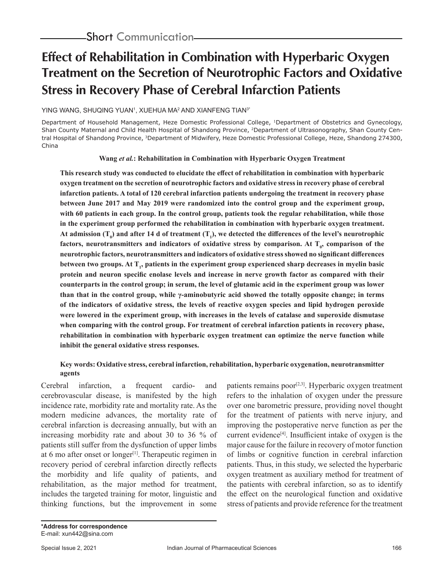# **Effect of Rehabilitation in Combination with Hyperbaric Oxygen Treatment on the Secretion of Neurotrophic Factors and Oxidative Stress in Recovery Phase of Cerebral Infarction Patients**

YING WANG, SHUQING YUAN<sup>1</sup>, XUEHUA MA<sup>2</sup> AND XIANFENG TIAN<sup>3\*</sup>

Department of Household Management, Heze Domestic Professional College, 1Department of Obstetrics and Gynecology, Shan County Maternal and Child Health Hospital of Shandong Province, 2Department of Ultrasonography, Shan County Central Hospital of Shandong Province, 3Department of Midwifery, Heze Domestic Professional College, Heze, Shandong 274300, China

### **Wang** *et al.***: Rehabilitation in Combination with Hyperbaric Oxygen Treatment**

**This research study was conducted to elucidate the effect of rehabilitation in combination with hyperbaric oxygen treatment on the secretion of neurotrophic factors and oxidative stress in recovery phase of cerebral infarction patients. A total of 120 cerebral infarction patients undergoing the treatment in recovery phase between June 2017 and May 2019 were randomized into the control group and the experiment group, with 60 patients in each group. In the control group, patients took the regular rehabilitation, while those in the experiment group performed the rehabilitation in combination with hyperbaric oxygen treatment.**  At admission  $(T_0)$  and after 14 d of treatment  $(T_1)$ , we detected the differences of the level's neurotrophic factors, neurotransmitters and indicators of oxidative stress by comparison. At T<sub>0</sub>, comparison of the **neurotrophic factors, neurotransmitters and indicators of oxidative stress showed no significant differences**  between two groups. At T<sub>1</sub>, patients in the experiment group experienced sharp decreases in myelin basic **protein and neuron specific enolase levels and increase in nerve growth factor as compared with their counterparts in the control group; in serum, the level of glutamic acid in the experiment group was lower than that in the control group, while γ-aminobutyric acid showed the totally opposite change; in terms of the indicators of oxidative stress, the levels of reactive oxygen species and lipid hydrogen peroxide were lowered in the experiment group, with increases in the levels of catalase and superoxide dismutase when comparing with the control group. For treatment of cerebral infarction patients in recovery phase, rehabilitation in combination with hyperbaric oxygen treatment can optimize the nerve function while inhibit the general oxidative stress responses.**

# **Key words: Oxidative stress, cerebral infarction, rehabilitation, hyperbaric oxygenation, neurotransmitter agents**

Cerebral infarction, a frequent cardio- and cerebrovascular disease, is manifested by the high incidence rate, morbidity rate and mortality rate. As the modern medicine advances, the mortality rate of cerebral infarction is decreasing annually, but with an increasing morbidity rate and about 30 to 36 % of patients still suffer from the dysfunction of upper limbs at 6 mo after onset or longer<sup>[1]</sup>. Therapeutic regimen in recovery period of cerebral infarction directly reflects the morbidity and life quality of patients, and rehabilitation, as the major method for treatment, includes the targeted training for motor, linguistic and thinking functions, but the improvement in some

patients remains poor<sup>[2,3]</sup>. Hyperbaric oxygen treatment refers to the inhalation of oxygen under the pressure over one barometric pressure, providing novel thought for the treatment of patients with nerve injury, and improving the postoperative nerve function as per the current evidence<sup>[4]</sup>. Insufficient intake of oxygen is the major cause for the failure in recovery of motor function of limbs or cognitive function in cerebral infarction patients. Thus, in this study, we selected the hyperbaric oxygen treatment as auxiliary method for treatment of the patients with cerebral infarction, so as to identify the effect on the neurological function and oxidative stress of patients and provide reference for the treatment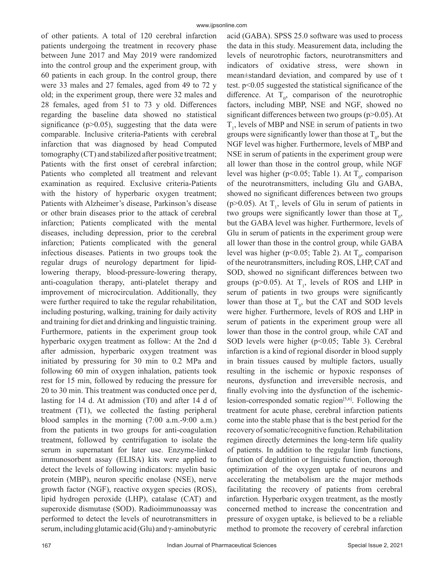of other patients. A total of 120 cerebral infarction patients undergoing the treatment in recovery phase between June 2017 and May 2019 were randomized into the control group and the experiment group, with 60 patients in each group. In the control group, there were 33 males and 27 females, aged from 49 to 72 y old; in the experiment group, there were 32 males and 28 females, aged from 51 to 73 y old. Differences regarding the baseline data showed no statistical significance ( $p$  $>$ 0.05), suggesting that the data were comparable. Inclusive criteria-Patients with cerebral infarction that was diagnosed by head Computed tomography (CT) and stabilized after positive treatment; Patients with the first onset of cerebral infarction; Patients who completed all treatment and relevant examination as required. Exclusive criteria-Patients with the history of hyperbaric oxygen treatment; Patients with Alzheimer's disease, Parkinson's disease or other brain diseases prior to the attack of cerebral infarction; Patients complicated with the mental diseases, including depression, prior to the cerebral infarction; Patients complicated with the general infectious diseases. Patients in two groups took the regular drugs of neurology department for lipidlowering therapy, blood-pressure-lowering therapy, anti-coagulation therapy, anti-platelet therapy and improvement of microcirculation. Additionally, they were further required to take the regular rehabilitation, including posturing, walking, training for daily activity and training for diet and drinking and linguistic training. Furthermore, patients in the experiment group took hyperbaric oxygen treatment as follow: At the 2nd d after admission, hyperbaric oxygen treatment was initiated by pressuring for 30 min to 0.2 MPa and following 60 min of oxygen inhalation, patients took rest for 15 min, followed by reducing the pressure for 20 to 30 min. This treatment was conducted once per d, lasting for 14 d. At admission (T0) and after 14 d of treatment (T1), we collected the fasting peripheral blood samples in the morning (7:00 a.m.-9:00 a.m.) from the patients in two groups for anti-coagulation treatment, followed by centrifugation to isolate the serum in supernatant for later use. Enzyme-linked immunosorbent assay (ELISA) kits were applied to detect the levels of following indicators: myelin basic protein (MBP), neuron specific enolase (NSE), nerve growth factor (NGF), reactive oxygen species (ROS), lipid hydrogen peroxide (LHP), catalase (CAT) and superoxide dismutase (SOD). Radioimmunoassay was performed to detect the levels of neurotransmitters in serum, including glutamic acid (Glu) and γ-aminobutyric

the data in this study. Measurement data, including the levels of neurotrophic factors, neurotransmitters and indicators of oxidative stress, were shown in mean±standard deviation, and compared by use of t test. p<0.05 suggested the statistical significance of the difference. At  $T_0$ , comparison of the neurotrophic factors, including MBP, NSE and NGF, showed no significant differences between two groups (p>0.05). At  $T<sub>1</sub>$ , levels of MBP and NSE in serum of patients in two groups were significantly lower than those at  $T_0$ , but the NGF level was higher. Furthermore, levels of MBP and NSE in serum of patients in the experiment group were all lower than those in the control group, while NGF level was higher (p<0.05; Table 1). At  $T_0$ , comparison of the neurotransmitters, including Glu and GABA, showed no significant differences between two groups (p>0.05). At  $T_1$ , levels of Glu in serum of patients in two groups were significantly lower than those at  $T_0$ , but the GABA level was higher. Furthermore, levels of Glu in serum of patients in the experiment group were all lower than those in the control group, while GABA level was higher (p<0.05; Table 2). At  $T_0$ , comparison of the neurotransmitters, including ROS, LHP, CAT and SOD, showed no significant differences between two groups (p>0.05). At  $T_1$ , levels of ROS and LHP in serum of patients in two groups were significantly lower than those at  $T_0$ , but the CAT and SOD levels were higher. Furthermore, levels of ROS and LHP in serum of patients in the experiment group were all lower than those in the control group, while CAT and SOD levels were higher (p<0.05; Table 3). Cerebral infarction is a kind of regional disorder in blood supply in brain tissues caused by multiple factors, usually resulting in the ischemic or hypoxic responses of neurons, dysfunction and irreversible necrosis, and finally evolving into the dysfunction of the ischemiclesion-corresponded somatic region $[5,6]$ . Following the treatment for acute phase, cerebral infarction patients come into the stable phase that is the best period for the recovery of somatic/recognitive function. Rehabilitation regimen directly determines the long-term life quality of patients. In addition to the regular limb functions, function of deglutition or linguistic function, thorough optimization of the oxygen uptake of neurons and accelerating the metabolism are the major methods facilitating the recovery of patients from cerebral infarction. Hyperbaric oxygen treatment, as the mostly concerned method to increase the concentration and pressure of oxygen uptake, is believed to be a reliable method to promote the recovery of cerebral infarction

acid (GABA). SPSS 25.0 software was used to process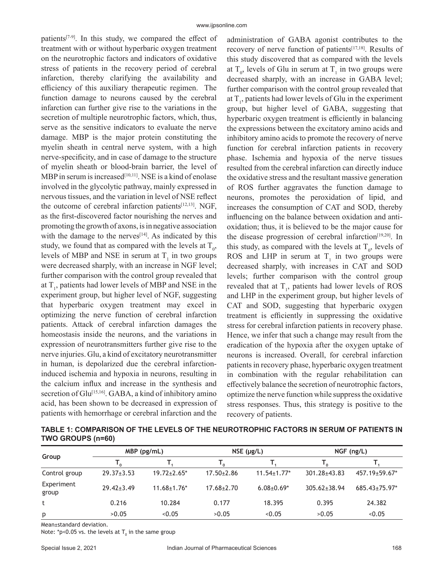patients $[7-9]$ . In this study, we compared the effect of treatment with or without hyperbaric oxygen treatment on the neurotrophic factors and indicators of oxidative stress of patients in the recovery period of cerebral infarction, thereby clarifying the availability and efficiency of this auxiliary therapeutic regimen. The function damage to neurons caused by the cerebral infarction can further give rise to the variations in the secretion of multiple neurotrophic factors, which, thus, serve as the sensitive indicators to evaluate the nerve damage. MBP is the major protein constituting the myelin sheath in central nerve system, with a high nerve-specificity, and in case of damage to the structure of myelin sheath or blood-brain barrier, the level of MBP in serum is increased<sup>[10,11]</sup>. NSE is a kind of enolase involved in the glycolytic pathway, mainly expressed in nervous tissues, and the variation in level of NSE reflect the outcome of cerebral infarction patients<sup>[12,13]</sup>. NGF, as the first-discovered factor nourishing the nerves and promoting the growth of axons, is in negative association with the damage to the nerves $[14]$ . As indicated by this study, we found that as compared with the levels at  $T_0$ , levels of MBP and NSE in serum at  $T_1$  in two groups were decreased sharply, with an increase in NGF level; further comparison with the control group revealed that at  $T_1$ , patients had lower levels of MBP and NSE in the experiment group, but higher level of NGF, suggesting that hyperbaric oxygen treatment may excel in optimizing the nerve function of cerebral infarction patients. Attack of cerebral infarction damages the homeostasis inside the neurons, and the variations in expression of neurotransmitters further give rise to the nerve injuries. Glu, a kind of excitatory neurotransmitter in human, is depolarized due the cerebral infarctioninduced ischemia and hypoxia in neurons, resulting in the calcium influx and increase in the synthesis and secretion of Glu<sup>[15,16]</sup>. GABA, a kind of inhibitory amino acid, has been shown to be decreased in expression of patients with hemorrhage or cerebral infarction and the

administration of GABA agonist contributes to the recovery of nerve function of patients[17,18]. Results of this study discovered that as compared with the levels at  $T_0$ , levels of Glu in serum at  $T_1$  in two groups were decreased sharply, with an increase in GABA level; further comparison with the control group revealed that at  $T_1$ , patients had lower levels of Glu in the experiment group, but higher level of GABA, suggesting that hyperbaric oxygen treatment is efficiently in balancing the expressions between the excitatory amino acids and inhibitory amino acids to promote the recovery of nerve function for cerebral infarction patients in recovery phase. Ischemia and hypoxia of the nerve tissues resulted from the cerebral infarction can directly induce the oxidative stress and the resultant massive generation of ROS further aggravates the function damage to neurons, promotes the peroxidation of lipid, and increases the consumption of CAT and SOD, thereby influencing on the balance between oxidation and antioxidation; thus, it is believed to be the major cause for the disease progression of cerebral infarction<sup>[19,20]</sup>. In this study, as compared with the levels at  $T_0$ , levels of ROS and LHP in serum at  $T<sub>1</sub>$  in two groups were decreased sharply, with increases in CAT and SOD levels; further comparison with the control group revealed that at  $T_1$ , patients had lower levels of ROS and LHP in the experiment group, but higher levels of CAT and SOD, suggesting that hyperbaric oxygen treatment is efficiently in suppressing the oxidative stress for cerebral infarction patients in recovery phase. Hence, we infer that such a change may result from the eradication of the hypoxia after the oxygen uptake of neurons is increased. Overall, for cerebral infarction patients in recovery phase, hyperbaric oxygen treatment in combination with the regular rehabilitation can effectively balance the secretion of neurotrophic factors, optimize the nerve function while suppress the oxidative stress responses. Thus, this strategy is positive to the recovery of patients.

**TABLE 1: COMPARISON OF THE LEVELS OF THE NEUROTROPHIC FACTORS IN SERUM OF PATIENTS IN TWO GROUPS (n=60)**

|                     | $MBP$ (pg/mL)    |                    |                  | $NSE$ ( $\mu$ g/L) | $NGF$ (ng/L)       |                      |  |
|---------------------|------------------|--------------------|------------------|--------------------|--------------------|----------------------|--|
| Group               |                  |                    |                  |                    |                    |                      |  |
| Control group       | $29.37 \pm 3.53$ | $19.72 \pm 2.65$ * | $17.50 \pm 2.86$ | $11.54 \pm 1.77$ * | $301.28 + 43.83$   | $457.19 \pm 59.67$ * |  |
| Experiment<br>group | $29.42 \pm 3.49$ | $11.68 \pm 1.76*$  | $17.68 \pm 2.70$ | $6.08 + 0.69*$     | $305.62 \pm 38.94$ | $685.43 \pm 75.97$ * |  |
|                     | 0.216            | 10.284             | 0.177            | 18.395             | 0.395              | 24.382               |  |
| p                   | >0.05            | < 0.05             | >0.05            | < 0.05             | >0.05              | < 0.05               |  |

Mean±standard deviation.

Note: \*p<0.05 vs. the levels at  ${\sf T}_{{}_0}$  in the same group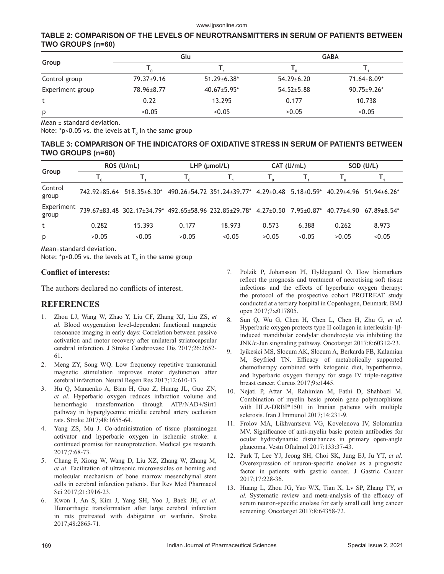## **TABLE 2: COMPARISON OF THE LEVELS OF NEUROTRANSMITTERS IN SERUM OF PATIENTS BETWEEN TWO GROUPS (n=60)**

|                  |                  | Glu                | <b>GABA</b>      |                    |  |  |
|------------------|------------------|--------------------|------------------|--------------------|--|--|
| Group            |                  |                    |                  |                    |  |  |
| Control group    | $79.37 \pm 9.16$ | $51.29 \pm 6.38^*$ | $54.29 \pm 6.20$ | 71.64±8.09*        |  |  |
| Experiment group | 78.96±8.77       | $40.67 \pm 5.95$ * | $54.52 \pm 5.88$ | $90.75 \pm 9.26$ * |  |  |
| t                | 0.22             | 13.295             | 0.177            | 10.738             |  |  |
| р                | >0.05            | < 0.05             | >0.05            | < 0.05             |  |  |

Mean ± standard deviation.

Note: \*p<0.05 vs. the levels at  $\mathsf{T}_{_{\textrm{0}}}$  in the same group

#### **TABLE 3: COMPARISON OF THE INDICATORS OF OXIDATIVE STRESS IN SERUM OF PATIENTS BETWEEN TWO GROUPS (n=60)**

| Group               | ROS (U/mL) |                                        | $LHP$ ( $µmol/L$ ) |                                                                        |       | CAT (U/mL) | SOD (U/L)  |                 |
|---------------------|------------|----------------------------------------|--------------------|------------------------------------------------------------------------|-------|------------|------------|-----------------|
|                     |            |                                        | ' ດ                |                                                                        |       |            |            |                 |
| Control<br>group    |            | $742.92 \pm 85.64$ 518.35 $\pm 6.30^*$ |                    | 490.26±54.72 351.24±39.77* 4.29±0.48 5.18±0.59* 40.29±4.96 51.94±6.26* |       |            |            |                 |
| Experiment<br>group |            |                                        |                    | 739.67±83.48 302.17±34.79* 492.65±58.96 232.85±29.78* 4.27±0.50        |       | 7.95+0.87* | 40.77+4.90 | $67.89 + 8.54*$ |
| t                   | 0.282      | 15.393                                 | 0.177              | 18.973                                                                 | 0.573 | 6.388      | 0.262      | 8.973           |
| p                   | >0.05      | < 0.05                                 | >0.05              | < 0.05                                                                 | >0.05 | < 0.05     | >0.05      | < 0.05          |

Mean±standard deviation.

Note: \*p<0.05 vs. the levels at  $\mathsf{T}_{_{\textrm{0}}}$  in the same group

### **Conflict of interests:**

The authors declared no conflicts of interest.

# **REFERENCES**

- 1. Zhou LJ, Wang W, Zhao Y, Liu CF, Zhang XJ, Liu ZS, *et al.* Blood oxygenation level-dependent functional magnetic resonance imaging in early days: Correlation between passive activation and motor recovery after unilateral striatocapsular cerebral infarction. J Stroke Cerebrovasc Dis 2017;26:2652- 61.
- 2. Meng ZY, Song WQ. Low frequency repetitive transcranial magnetic stimulation improves motor dysfunction after cerebral infarction. Neural Regen Res 2017;12:610-13.
- 3. Hu Q, Manaenko A, Bian H, Guo Z, Huang JL, Guo ZN, *et al.* Hyperbaric oxygen reduces infarction volume and hemorrhagic transformation through ATP/NAD+/Sirt1 pathway in hyperglycemic middle cerebral artery occlusion rats. Stroke 2017;48:1655-64.
- 4. Yang ZS, Mu J. Co-administration of tissue plasminogen activator and hyperbaric oxygen in ischemic stroke: a continued promise for neuroprotection. Medical gas research. 2017;7:68-73.
- 5. Chang F, Xiong W, Wang D, Liu XZ, Zhang W, Zhang M, *et al.* Facilitation of ultrasonic microvesicles on homing and molecular mechanism of bone marrow mesenchymal stem cells in cerebral infarction patients. Eur Rev Med Pharmacol Sci 2017;21:3916-23.
- 6. Kwon I, An S, Kim J, Yang SH, Yoo J, Baek JH, *et al.* Hemorrhagic transformation after large cerebral infarction in rats pretreated with dabigatran or warfarin. Stroke 2017;48:2865-71.
- 7. Polzik P, Johansson PI, Hyldegaard O. How biomarkers reflect the prognosis and treatment of necrotising soft tissue infections and the effects of hyperbaric oxygen therapy: the protocol of the prospective cohort PROTREAT study conducted at a tertiary hospital in Copenhagen, Denmark. BMJ open 2017;7:e017805.
- 8. Sun Q, Wu G, Chen H, Chen L, Chen H, Zhu G, *et al.* Hyperbaric oxygen protects type II collagen in interleukin-1βinduced mandibular condylar chondrocyte via inhibiting the JNK/c-Jun singnaling pathway. Oncotarget 2017;8:60312-23.
- 9. Iyikesici MS, Slocum AK, Slocum A, Berkarda FB, Kalamian M, Seyfried TN. Efficacy of metabolically supported chemotherapy combined with ketogenic diet, hyperthermia, and hyperbaric oxygen therapy for stage IV triple-negative breast cancer. Cureus 2017;9:e1445.
- 10. Nejati P, Attar M, Rahimian M, Fathi D, Shahbazi M. Combination of myelin basic protein gene polymorphisms with HLA-DRBI\*1501 in Iranian patients with multiple sclerosis. Iran J Immunol 2017;14:231-9.
- 11. Frolov MA, Likhvantseva VG, Kovelenova IV, Solomatina MV. Significance of anti-myelin basic protein antibodies for ocular hydrodynamic disturbances in primary open-angle glaucoma. Vestn Oftalmol 2017;133:37-43.
- 12. Park T, Lee YJ, Jeong SH, Choi SK, Jung EJ, Ju YT, *et al.* Overexpression of neuron-specific enolase as a prognostic factor in patients with gastric cancer. J Gastric Cancer 2017;17:228-36.
- 13. Huang L, Zhou JG, Yao WX, Tian X, Lv SP, Zhang TY, *et al.* Systematic review and meta-analysis of the efficacy of serum neuron-specific enolase for early small cell lung cancer screening. Oncotarget 2017;8:64358-72.